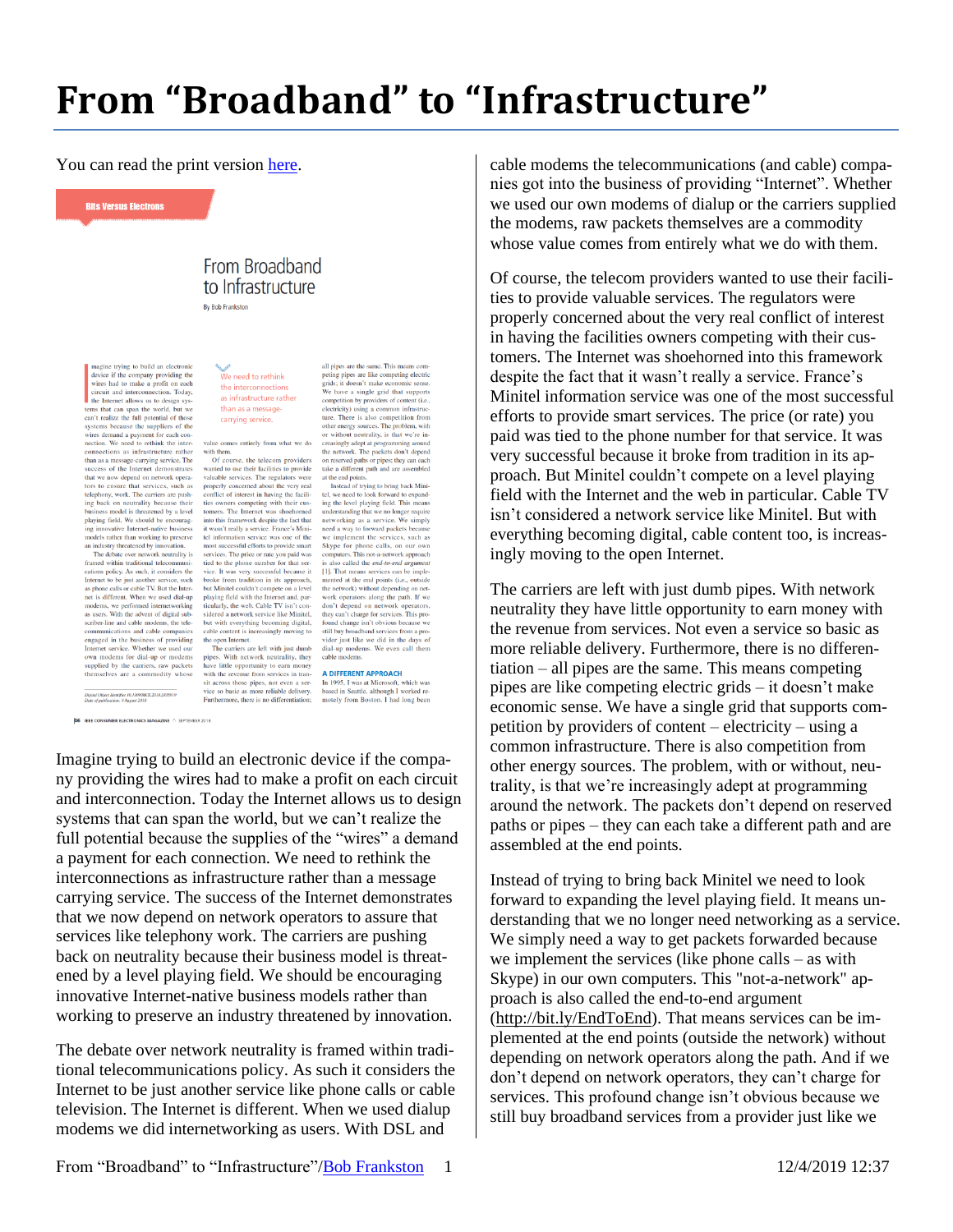## **From "Broadband" to "Infrastructure"**

all pipes are the same. This means com-<br>peting pipes are like competing electric<br>grids; it doesn't make economic sense.<br>We have a single grid that supports

competition by providers of content (i.e.,

ture. There is also competition from

ture. There is also competition from<br>the other energy sources. The problem, with<br>or without neutrality, is that we're in-<br>creasingly adopt at programming around<br>the network. The packets don't depend<br>the on reserved plats o

tel, we need to look forward to expand-<br>ing the level playing field. This means<br>understanding that we no longer require<br>networking as a service. We simply<br>need a way to forward packets because<br>we implement the services, s

the network) without depending on network operators along the path. If we

don't depend on network operators

they can't charge for services. This pro

found change isn't obvious because w<br>still buy broadband services from a pro

 $\frac{1}{2}$  call them

vider inst like we did in the day

dial-up modems. We examine

electricity) using a common infrastruc

You can read the print version [here.](https://doi.org/10.1109/MCE.2018.2851758)

**Bits Versus Electrons** 

## From Broadband to Infrastructure **Ry Rob Frankston**

magine trying to build an electronic<br>device if the company providing the<br>wires had to make a profit on each circuit and interconnection. Today, the Internet allows us to design sys the Internet allows us to design system and reaches the test<br>rest test test can span the world, but we can't realize the full potential of those<br>systems because the suppliers of the wires demand a payment for each connecti

ing back on neutrality because their business model is threatened by a level playing field. We should be encouragvative Internet-native business models rather than working to preserve models rather than working to preserve<br>and an industry threatened by innovation.<br>The debate over network neutrality is<br>framed within traditional telecommuni-<br>crimation is existent considers the latter service, such its cat

modems, we performed internetworking as users. With the advent of digital subscriber-line and cable modems, the telecommunications and cable companies communications and cater companers<br>Integral in the business of providing<br>Internet service. Whether we used our<br>own modems for dial-up or modems<br>supplied by the carriers, raw packets<br>themselves are a commodity whose

We need to rethink the interconnections as infrastructure rather than as a messagecarrying service.

value comes entirely from what we do

value comes entirely from what we do<br>with them.<br>The context of course, the telecom providers<br>of course, the telecom providers<br>valuable services. The regulators were<br>valuable services. The regulators were<br>properly concerned tomers. The Internet was shoehorned into this framework despite the fact that<br>it wasn't really a service. France's Mini-<br>tel information service was one of the construction most successful efforts to provide smart<br>into str ticularly, the web. Cable TV isn't considered a network service like Minitel, but with everything becoming digital. cable content is increasingly moving to the open Internet.

the open Internet.<br>The carriers are left with just dumb<br>pipes. With network neutrality, they<br>have little opprominity to earm money<br>with the revenue from services in tran-<br>sit across those pipes, not vero a ser-<br>vice so bas

Digital Object Identifier 10.1109/MCE.2018.2835919<br>Date of publication: 9 August 2018 46 IEEE CONSUMER ELECTRONICS MAGAZINE A SEPTEMBER 2018

A DIFFERENT APPROACH **A DIFFERENT APPROACH**<br>In 1995, I was at Microsoft, which was<br>based in Seattle, although I worked re-<br>motely from Boston. I had long been

Imagine trying to build an electronic device if the company providing the wires had to make a profit on each circuit and interconnection. Today the Internet allows us to design systems that can span the world, but we can't realize the full potential because the supplies of the "wires" a demand a payment for each connection. We need to rethink the interconnections as infrastructure rather than a message carrying service. The success of the Internet demonstrates that we now depend on network operators to assure that services like telephony work. The carriers are pushing back on neutrality because their business model is threatened by a level playing field. We should be encouraging innovative Internet-native business models rather than working to preserve an industry threatened by innovation.

The debate over network neutrality is framed within traditional telecommunications policy. As such it considers the Internet to be just another service like phone calls or cable television. The Internet is different. When we used dialup modems we did internetworking as users. With DSL and

cable modems the telecommunications (and cable) companies got into the business of providing "Internet". Whether we used our own modems of dialup or the carriers supplied the modems, raw packets themselves are a commodity whose value comes from entirely what we do with them.

Of course, the telecom providers wanted to use their facilities to provide valuable services. The regulators were properly concerned about the very real conflict of interest in having the facilities owners competing with their customers. The Internet was shoehorned into this framework despite the fact that it wasn't really a service. France's Minitel information service was one of the most successful efforts to provide smart services. The price (or rate) you paid was tied to the phone number for that service. It was very successful because it broke from tradition in its approach. But Minitel couldn't compete on a level playing field with the Internet and the web in particular. Cable TV isn't considered a network service like Minitel. But with everything becoming digital, cable content too, is increasingly moving to the open Internet.

The carriers are left with just dumb pipes. With network neutrality they have little opportunity to earn money with the revenue from services. Not even a service so basic as more reliable delivery. Furthermore, there is no differentiation – all pipes are the same. This means competing pipes are like competing electric grids – it doesn't make economic sense. We have a single grid that supports competition by providers of content – electricity – using a common infrastructure. There is also competition from other energy sources. The problem, with or without, neutrality, is that we're increasingly adept at programming around the network. The packets don't depend on reserved paths or pipes – they can each take a different path and are assembled at the end points.

Instead of trying to bring back Minitel we need to look forward to expanding the level playing field. It means understanding that we no longer need networking as a service. We simply need a way to get packets forwarded because we implement the services (like phone calls – as with Skype) in our own computers. This "not-a-network" approach is also called the end-to-end argument [\(http://bit.ly/EndToEnd\)](http://bit.ly/EndToEnd). That means services can be implemented at the end points (outside the network) without depending on network operators along the path. And if we don't depend on network operators, they can't charge for services. This profound change isn't obvious because we still buy broadband services from a provider just like we